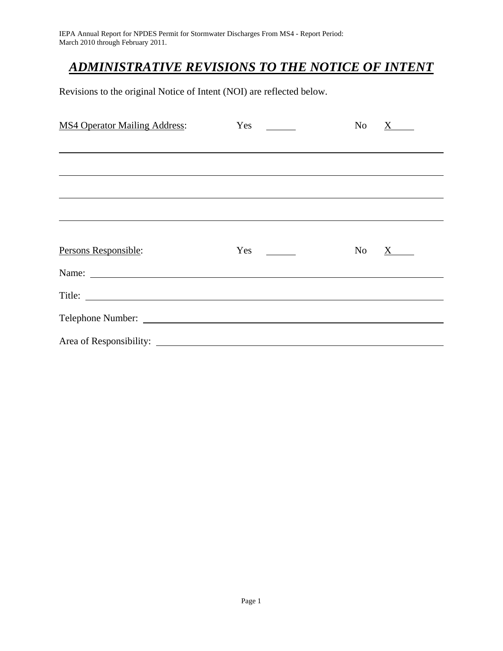IEPA Annual Report for NPDES Permit for Stormwater Discharges From MS4 - Report Period: March 2010 through February 2011.

## *ADMINISTRATIVE REVISIONS TO THE NOTICE OF INTENT*

Revisions to the original Notice of Intent (NOI) are reflected below.

| <b>MS4 Operator Mailing Address:</b> | Yes<br>$\mathcal{L} = \mathcal{L}$ | No<br>X |
|--------------------------------------|------------------------------------|---------|
|                                      |                                    |         |
|                                      |                                    |         |
|                                      |                                    |         |
|                                      |                                    |         |
|                                      |                                    |         |
| Persons Responsible:                 | Yes<br>and a string                | No X    |
| Name:                                |                                    |         |
|                                      |                                    |         |
|                                      |                                    |         |
|                                      |                                    |         |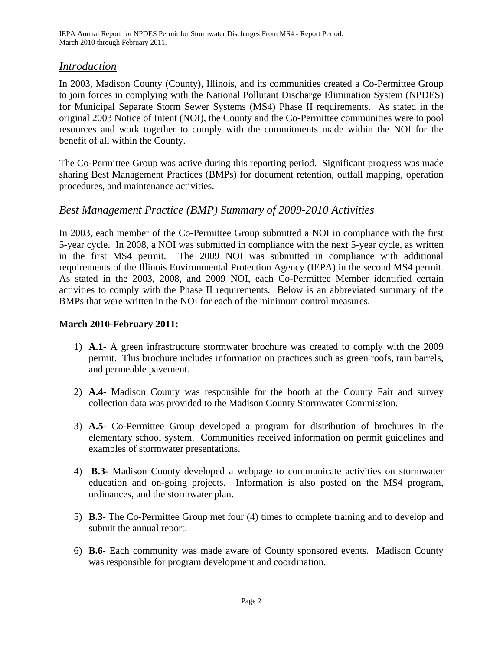IEPA Annual Report for NPDES Permit for Stormwater Discharges From MS4 - Report Period: March 2010 through February 2011.

### *Introduction*

In 2003, Madison County (County), Illinois, and its communities created a Co-Permittee Group to join forces in complying with the National Pollutant Discharge Elimination System (NPDES) for Municipal Separate Storm Sewer Systems (MS4) Phase II requirements. As stated in the original 2003 Notice of Intent (NOI), the County and the Co-Permittee communities were to pool resources and work together to comply with the commitments made within the NOI for the benefit of all within the County.

The Co-Permittee Group was active during this reporting period. Significant progress was made sharing Best Management Practices (BMPs) for document retention, outfall mapping, operation procedures, and maintenance activities.

### *Best Management Practice (BMP) Summary of 2009-2010 Activities*

In 2003, each member of the Co-Permittee Group submitted a NOI in compliance with the first 5-year cycle. In 2008, a NOI was submitted in compliance with the next 5-year cycle, as written in the first MS4 permit. The 2009 NOI was submitted in compliance with additional requirements of the Illinois Environmental Protection Agency (IEPA) in the second MS4 permit. As stated in the 2003, 2008, and 2009 NOI, each Co-Permittee Member identified certain activities to comply with the Phase II requirements. Below is an abbreviated summary of the BMPs that were written in the NOI for each of the minimum control measures.

### **March 2010-February 2011:**

- 1) **A.1-** A green infrastructure stormwater brochure was created to comply with the 2009 permit. This brochure includes information on practices such as green roofs, rain barrels, and permeable pavement.
- 2) **A.4-** Madison County was responsible for the booth at the County Fair and survey collection data was provided to the Madison County Stormwater Commission.
- 3) **A.5** Co-Permittee Group developed a program for distribution of brochures in the elementary school system. Communities received information on permit guidelines and examples of stormwater presentations.
- 4) **B.3** Madison County developed a webpage to communicate activities on stormwater education and on-going projects. Information is also posted on the MS4 program, ordinances, and the stormwater plan.
- 5) **B.3** The Co-Permittee Group met four (4) times to complete training and to develop and submit the annual report.
- 6) **B.6-** Each community was made aware of County sponsored events. Madison County was responsible for program development and coordination.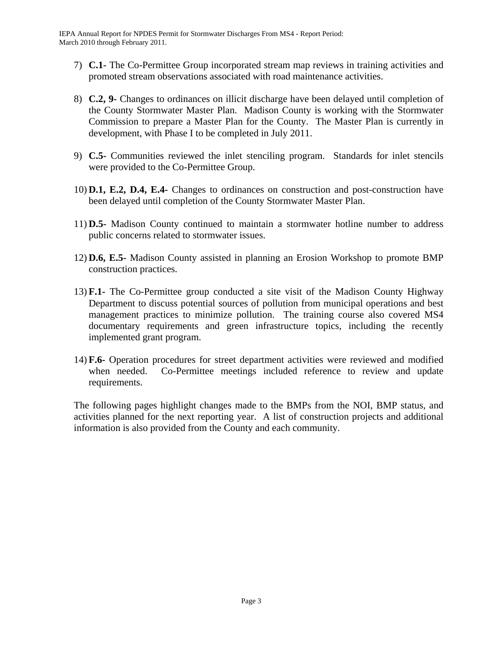- 7) **C.1-** The Co-Permittee Group incorporated stream map reviews in training activities and promoted stream observations associated with road maintenance activities.
- 8) **C.2, 9-** Changes to ordinances on illicit discharge have been delayed until completion of the County Stormwater Master Plan. Madison County is working with the Stormwater Commission to prepare a Master Plan for the County. The Master Plan is currently in development, with Phase I to be completed in July 2011.
- 9) **C.5-** Communities reviewed the inlet stenciling program. Standards for inlet stencils were provided to the Co-Permittee Group.
- 10) **D.1, E.2, D.4, E.4-** Changes to ordinances on construction and post-construction have been delayed until completion of the County Stormwater Master Plan.
- 11) **D.5-** Madison County continued to maintain a stormwater hotline number to address public concerns related to stormwater issues.
- 12) **D.6, E.5-** Madison County assisted in planning an Erosion Workshop to promote BMP construction practices.
- 13) **F.1-** The Co-Permittee group conducted a site visit of the Madison County Highway Department to discuss potential sources of pollution from municipal operations and best management practices to minimize pollution. The training course also covered MS4 documentary requirements and green infrastructure topics, including the recently implemented grant program.
- 14) **F.6-** Operation procedures for street department activities were reviewed and modified when needed. Co-Permittee meetings included reference to review and update requirements.

The following pages highlight changes made to the BMPs from the NOI, BMP status, and activities planned for the next reporting year. A list of construction projects and additional information is also provided from the County and each community.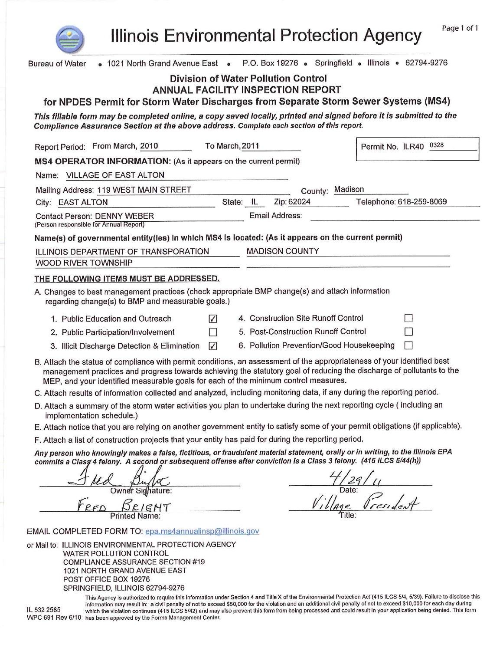

**Illinois Environmental Protection Agency** 

| • 1021 North Grand Avenue East • P.O. Box 19276 • Springfield • Illinois • 62794-9276<br>Bureau of Water                                                                                                                                                                                                                                |
|-----------------------------------------------------------------------------------------------------------------------------------------------------------------------------------------------------------------------------------------------------------------------------------------------------------------------------------------|
| Division of Water Pollution Control                                                                                                                                                                                                                                                                                                     |
| <b>ANNUAL FACILITY INSPECTION REPORT</b>                                                                                                                                                                                                                                                                                                |
| for NPDES Permit for Storm Water Discharges from Separate Storm Sewer Systems (MS4)                                                                                                                                                                                                                                                     |
| This fillable form may be completed online, a copy saved locally, printed and signed before it is submitted to the                                                                                                                                                                                                                      |
| Compliance Assurance Section at the above address. Complete each section of this report.                                                                                                                                                                                                                                                |
| To March, 2011<br>Report Period: From March, 2010<br>Permit No. ILR40 0328                                                                                                                                                                                                                                                              |
| MS4 OPERATOR INFORMATION: (As it appears on the current permit)                                                                                                                                                                                                                                                                         |
| Name: VILLAGE OF EAST ALTON                                                                                                                                                                                                                                                                                                             |
| County: Madison<br>Mailing Address: 119 WEST MAIN STREET                                                                                                                                                                                                                                                                                |
| Zip: 62024<br>Telephone: 618-259-8069<br>State: IL<br>City: EAST ALTON                                                                                                                                                                                                                                                                  |
| Email Address:<br><b>Contact Person: DENNY WEBER</b><br>(Person responsible for Annual Report)                                                                                                                                                                                                                                          |
| Name(s) of governmental entity(ies) in which MS4 is located: (As it appears on the current permit)                                                                                                                                                                                                                                      |
| <b>MADISON COUNTY</b><br>ILLINOIS DEPARTMENT OF TRANSPORATION                                                                                                                                                                                                                                                                           |
| WOOD RIVER TOWNSHIP                                                                                                                                                                                                                                                                                                                     |
| THE FOLLOWING ITEMS MUST BE ADDRESSED.                                                                                                                                                                                                                                                                                                  |
| A. Changes to best management practices (check appropriate BMP change(s) and attach information<br>regarding change(s) to BMP and measurable goals.)                                                                                                                                                                                    |
| 4. Construction Site Runoff Control<br>$\Box$<br>1. Public Education and Outreach<br>☑                                                                                                                                                                                                                                                  |
| 5. Post-Construction Runoff Control<br>2. Public Participation/Involvement                                                                                                                                                                                                                                                              |
| 6. Pollution Prevention/Good Housekeeping<br>$\triangledown$<br>3. Illicit Discharge Detection & Elimination                                                                                                                                                                                                                            |
| B. Attach the status of compliance with permit conditions, an assessment of the appropriateness of your identified best<br>management practices and progress towards achieving the statutory goal of reducing the discharge of pollutants to the<br>MEP, and your identified measurable goals for each of the minimum control measures. |
| C. Attach results of information collected and analyzed, including monitoring data, if any during the reporting period.                                                                                                                                                                                                                 |
| D. Attach a summary of the storm water activities you plan to undertake during the next reporting cycle (including an<br>implementation schedule.)                                                                                                                                                                                      |
| E. Attach notice that you are relying on another government entity to satisfy some of your permit obligations (if applicable).                                                                                                                                                                                                          |
| F. Attach a list of construction projects that your entity has paid for during the reporting period.                                                                                                                                                                                                                                    |
| Any person who knowingly makes a false, fictitious, or fraudulent material statement, orally or in writing, to the Illinois EPA<br>commits a Clasg 4 felony. A second or subsequent offense after conviction is a Class 3 felony. (415 ILCS 5/44(h))                                                                                    |
|                                                                                                                                                                                                                                                                                                                                         |
| Owner Sighature:                                                                                                                                                                                                                                                                                                                        |
| Title:                                                                                                                                                                                                                                                                                                                                  |
| EMAIL COMPLETED FORM TO: epa.ms4annualinsp@illinois.gov                                                                                                                                                                                                                                                                                 |
| or Mail to: ILLINOIS ENVIRONMENTAL PROTECTION AGENCY                                                                                                                                                                                                                                                                                    |
| <b>WATER POLLUTION CONTROL</b><br><b>COMPLIANCE ASSURANCE SECTION #19</b><br>1021 NORTH GRAND AVENUE EAST<br>POST OFFICE BOX 19276<br>SPRINGFIELD, ILLINOIS 62794-9276                                                                                                                                                                  |

This Agency is authorized to require this information under Section 4 and Title X of the Environmental Protection Act (415 ILCS 5/4, 5/39). Failure to disclose this<br>information may result in: a civil penalty of not to exce WPC 691 Rev 6/10 has been approved by the Forms Management Center.

IL 532 2585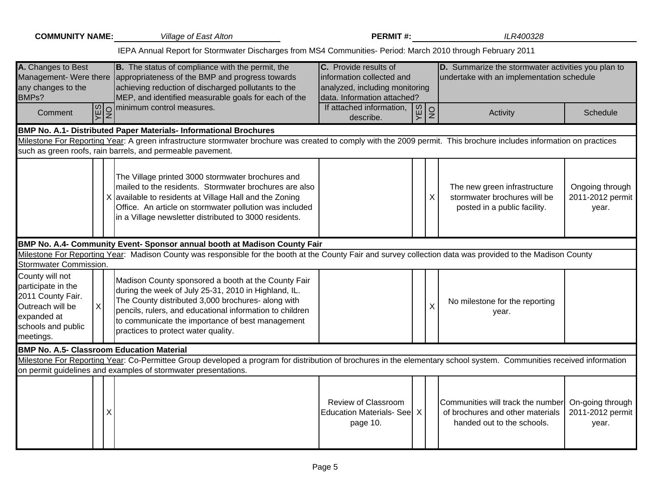| <b>COMMUNITY NAME:</b>                                                                                                                | <b>Village of East Alton</b>                                                                                                                                                                                                                                                                                             | <b>PERMIT#:</b>                                                                                                     |            | ILR400328                                                                                           |                                               |
|---------------------------------------------------------------------------------------------------------------------------------------|--------------------------------------------------------------------------------------------------------------------------------------------------------------------------------------------------------------------------------------------------------------------------------------------------------------------------|---------------------------------------------------------------------------------------------------------------------|------------|-----------------------------------------------------------------------------------------------------|-----------------------------------------------|
|                                                                                                                                       | IEPA Annual Report for Stormwater Discharges from MS4 Communities- Period: March 2010 through February 2011                                                                                                                                                                                                              |                                                                                                                     |            |                                                                                                     |                                               |
| A. Changes to Best<br>any changes to the<br>BMPs?                                                                                     | <b>B.</b> The status of compliance with the permit, the<br>Management- Were there appropriateness of the BMP and progress towards<br>achieving reduction of discharged pollutants to the<br>MEP, and identified measurable goals for each of the                                                                         | C. Provide results of<br>information collected and<br>analyzed, including monitoring<br>data. Information attached? |            | D. Summarize the stormwater activities you plan to<br>undertake with an implementation schedule     |                                               |
| Comment                                                                                                                               | Ø O minimum control measures.                                                                                                                                                                                                                                                                                            | If attached information,<br>describe.                                                                               | <b>VES</b> | $\overline{2}$<br>Activity                                                                          | <b>Schedule</b>                               |
|                                                                                                                                       | <b>BMP No. A.1- Distributed Paper Materials- Informational Brochures</b>                                                                                                                                                                                                                                                 |                                                                                                                     |            |                                                                                                     |                                               |
|                                                                                                                                       | Milestone For Reporting Year: A green infrastructure stormwater brochure was created to comply with the 2009 permit. This brochure includes information on practices                                                                                                                                                     |                                                                                                                     |            |                                                                                                     |                                               |
|                                                                                                                                       | such as green roofs, rain barrels, and permeable pavement.                                                                                                                                                                                                                                                               |                                                                                                                     |            |                                                                                                     |                                               |
|                                                                                                                                       | The Village printed 3000 stormwater brochures and<br>mailed to the residents. Stormwater brochures are also<br>X available to residents at Village Hall and the Zoning<br>Office. An article on stormwater pollution was included<br>in a Village newsletter distributed to 3000 residents.                              |                                                                                                                     |            | The new green infrastructure<br>stormwater brochures will be<br>X<br>posted in a public facility.   | Ongoing through<br>2011-2012 permit<br>year.  |
|                                                                                                                                       | BMP No. A.4- Community Event- Sponsor annual booth at Madison County Fair                                                                                                                                                                                                                                                |                                                                                                                     |            |                                                                                                     |                                               |
|                                                                                                                                       | Milestone For Reporting Year: Madison County was responsible for the booth at the County Fair and survey collection data was provided to the Madison County                                                                                                                                                              |                                                                                                                     |            |                                                                                                     |                                               |
| Stormwater Commission.                                                                                                                |                                                                                                                                                                                                                                                                                                                          |                                                                                                                     |            |                                                                                                     |                                               |
| County will not<br>participate in the<br>2011 County Fair.<br>X<br>Outreach will be<br>expanded at<br>schools and public<br>meetings. | Madison County sponsored a booth at the County Fair<br>during the week of July 25-31, 2010 in Highland, IL.<br>The County distributed 3,000 brochures- along with<br>pencils, rulers, and educational information to children<br>to communicate the importance of best management<br>practices to protect water quality. |                                                                                                                     |            | No milestone for the reporting<br>X<br>year.                                                        |                                               |
| <b>BMP No. A.5- Classroom Education Material</b>                                                                                      |                                                                                                                                                                                                                                                                                                                          |                                                                                                                     |            |                                                                                                     |                                               |
|                                                                                                                                       | Milestone For Reporting Year: Co-Permittee Group developed a program for distribution of brochures in the elementary school system. Communities received information                                                                                                                                                     |                                                                                                                     |            |                                                                                                     |                                               |
|                                                                                                                                       | on permit guidelines and examples of stormwater presentations.                                                                                                                                                                                                                                                           |                                                                                                                     |            |                                                                                                     |                                               |
|                                                                                                                                       | Χ                                                                                                                                                                                                                                                                                                                        | Review of Classroom<br>Education Materials- See X<br>page 10.                                                       |            | Communities will track the number<br>of brochures and other materials<br>handed out to the schools. | On-going through<br>2011-2012 permit<br>year. |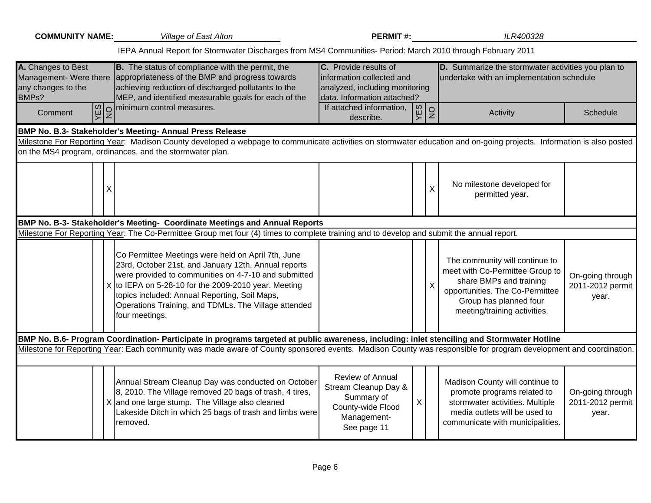| <b>COMMUNITY NAME:</b>                            | Village of East Alton                                                                                                                                                                                                                                                                                                                                      | <b>PERMIT#:</b>                                                                                                     |                  | ILR400328                                                                                                                                                                                 |                                               |
|---------------------------------------------------|------------------------------------------------------------------------------------------------------------------------------------------------------------------------------------------------------------------------------------------------------------------------------------------------------------------------------------------------------------|---------------------------------------------------------------------------------------------------------------------|------------------|-------------------------------------------------------------------------------------------------------------------------------------------------------------------------------------------|-----------------------------------------------|
|                                                   | IEPA Annual Report for Stormwater Discharges from MS4 Communities- Period: March 2010 through February 2011                                                                                                                                                                                                                                                |                                                                                                                     |                  |                                                                                                                                                                                           |                                               |
| A. Changes to Best<br>any changes to the<br>BMPs? | <b>B.</b> The status of compliance with the permit, the<br>Management- Were there appropriateness of the BMP and progress towards<br>achieving reduction of discharged pollutants to the<br>MEP, and identified measurable goals for each of the                                                                                                           | C. Provide results of<br>information collected and<br>analyzed, including monitoring<br>data. Information attached? |                  | D. Summarize the stormwater activities you plan to<br>undertake with an implementation schedule                                                                                           |                                               |
| Comment                                           | $\left \frac{\omega}{\zeta}\right $ minimum control measures.                                                                                                                                                                                                                                                                                              | If attached information,<br>describe.                                                                               | $\frac{VES}{NO}$ | Activity                                                                                                                                                                                  | Schedule                                      |
|                                                   | BMP No. B.3- Stakeholder's Meeting- Annual Press Release                                                                                                                                                                                                                                                                                                   |                                                                                                                     |                  |                                                                                                                                                                                           |                                               |
|                                                   | Milestone For Reporting Year: Madison County developed a webpage to communicate activities on stormwater education and on-going projects. Information is also posted<br>on the MS4 program, ordinances, and the stormwater plan.                                                                                                                           |                                                                                                                     |                  |                                                                                                                                                                                           |                                               |
| X                                                 |                                                                                                                                                                                                                                                                                                                                                            |                                                                                                                     | $\mathsf{X}$     | No milestone developed for<br>permitted year.                                                                                                                                             |                                               |
|                                                   | BMP No. B-3- Stakeholder's Meeting- Coordinate Meetings and Annual Reports                                                                                                                                                                                                                                                                                 |                                                                                                                     |                  |                                                                                                                                                                                           |                                               |
|                                                   | Milestone For Reporting Year: The Co-Permittee Group met four (4) times to complete training and to develop and submit the annual report.                                                                                                                                                                                                                  |                                                                                                                     |                  |                                                                                                                                                                                           |                                               |
|                                                   | Co Permittee Meetings were held on April 7th, June<br>23rd, October 21st, and January 12th. Annual reports<br>were provided to communities on 4-7-10 and submitted<br>$\chi$ to IEPA on 5-28-10 for the 2009-2010 year. Meeting<br>topics included: Annual Reporting, Soil Maps,<br>Operations Training, and TDMLs. The Village attended<br>four meetings. |                                                                                                                     | X                | The community will continue to<br>meet with Co-Permittee Group to<br>share BMPs and training<br>opportunities. The Co-Permittee<br>Group has planned four<br>meeting/training activities. | On-going through<br>2011-2012 permit<br>year. |
|                                                   | BMP No. B.6- Program Coordination- Participate in programs targeted at public awareness, including: inlet stenciling and Stormwater Hotline                                                                                                                                                                                                                |                                                                                                                     |                  |                                                                                                                                                                                           |                                               |
|                                                   | Milestone for Reporting Year: Each community was made aware of County sponsored events. Madison County was responsible for program development and coordination.                                                                                                                                                                                           |                                                                                                                     |                  |                                                                                                                                                                                           |                                               |
|                                                   | Annual Stream Cleanup Day was conducted on October<br>8, 2010. The Village removed 20 bags of trash, 4 tires,<br>X and one large stump. The Village also cleaned<br>Lakeside Ditch in which 25 bags of trash and limbs were<br>removed.                                                                                                                    | Review of Annual<br>Stream Cleanup Day &<br>Summary of<br>County-wide Flood<br>Management-<br>See page 11           | X                | Madison County will continue to<br>promote programs related to<br>stormwater activities. Multiple<br>media outlets will be used to<br>communicate with municipalities.                    | On-going through<br>2011-2012 permit<br>year. |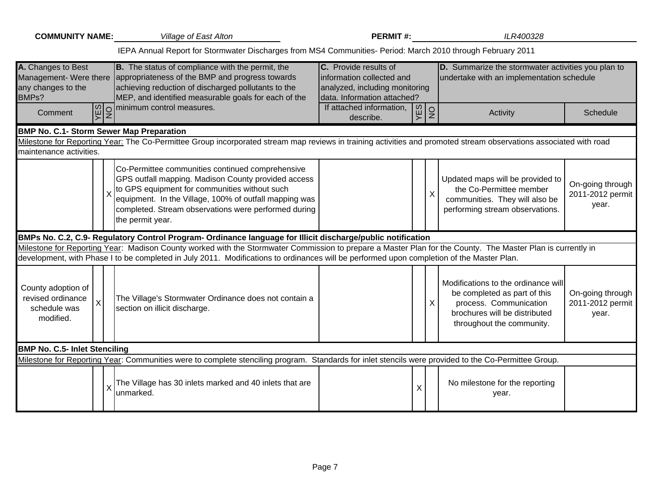| <b>COMMUNITY NAME:</b> Village of East Alton                                               |                                                                                                                                                                                                                                                                                                                     | <b>PERMIT#:</b>                                                                                                            |     |               | ILR400328                                                                                                                                                   |                                               |
|--------------------------------------------------------------------------------------------|---------------------------------------------------------------------------------------------------------------------------------------------------------------------------------------------------------------------------------------------------------------------------------------------------------------------|----------------------------------------------------------------------------------------------------------------------------|-----|---------------|-------------------------------------------------------------------------------------------------------------------------------------------------------------|-----------------------------------------------|
|                                                                                            | IEPA Annual Report for Stormwater Discharges from MS4 Communities- Period: March 2010 through February 2011                                                                                                                                                                                                         |                                                                                                                            |     |               |                                                                                                                                                             |                                               |
| A. Changes to Best<br>any changes to the<br>BMPs?                                          | <b>B.</b> The status of compliance with the permit, the<br>Management- Were there appropriateness of the BMP and progress towards<br>achieving reduction of discharged pollutants to the<br>MEP, and identified measurable goals for each of the                                                                    | <b>C.</b> Provide results of<br>information collected and<br>analyzed, including monitoring<br>data. Information attached? |     |               | D. Summarize the stormwater activities you plan to<br>undertake with an implementation schedule                                                             |                                               |
| Comment                                                                                    | $\left \frac{\omega}{\zeta}\right $ minimum control measures.                                                                                                                                                                                                                                                       | If attached information,<br>describe.                                                                                      | YES | $\frac{1}{2}$ | Activity                                                                                                                                                    | Schedule                                      |
| <b>BMP No. C.1- Storm Sewer Map Preparation</b>                                            |                                                                                                                                                                                                                                                                                                                     |                                                                                                                            |     |               |                                                                                                                                                             |                                               |
| maintenance activities.                                                                    | Milestone for Reporting Year: The Co-Permittee Group incorporated stream map reviews in training activities and promoted stream observations associated with road                                                                                                                                                   |                                                                                                                            |     |               |                                                                                                                                                             |                                               |
|                                                                                            | Co-Permittee communities continued comprehensive<br>GPS outfall mapping. Madison County provided access<br>$\frac{1}{\sqrt{2}}$ to GPS equipment for communities without such<br>equipment. In the Village, 100% of outfall mapping was<br>completed. Stream observations were performed during<br>the permit year. |                                                                                                                            |     | X             | Updated maps will be provided to<br>the Co-Permittee member<br>communities. They will also be<br>performing stream observations.                            | On-going through<br>2011-2012 permit<br>year. |
|                                                                                            | BMPs No. C.2, C.9- Regulatory Control Program- Ordinance language for Illicit discharge/public notification                                                                                                                                                                                                         |                                                                                                                            |     |               |                                                                                                                                                             |                                               |
|                                                                                            | Milestone for Reporting Year: Madison County worked with the Stormwater Commission to prepare a Master Plan for the County. The Master Plan is currently in<br>development, with Phase I to be completed in July 2011. Modifications to ordinances will be performed upon completion of the Master Plan.            |                                                                                                                            |     |               |                                                                                                                                                             |                                               |
| County adoption of<br>revised ordinance<br>$\mathsf{X}% _{0}$<br>schedule was<br>modified. | The Village's Stormwater Ordinance does not contain a<br>section on illicit discharge.                                                                                                                                                                                                                              |                                                                                                                            |     | $\mathsf{X}$  | Modifications to the ordinance will<br>be completed as part of this<br>process. Communication<br>brochures will be distributed<br>throughout the community. | On-going through<br>2011-2012 permit<br>year. |
| <b>BMP No. C.5- Inlet Stenciling</b>                                                       |                                                                                                                                                                                                                                                                                                                     |                                                                                                                            |     |               |                                                                                                                                                             |                                               |
|                                                                                            | Milestone for Reporting Year: Communities were to complete stenciling program. Standards for inlet stencils were provided to the Co-Permittee Group.                                                                                                                                                                |                                                                                                                            |     |               |                                                                                                                                                             |                                               |
|                                                                                            | The Village has 30 inlets marked and 40 inlets that are<br>unmarked.                                                                                                                                                                                                                                                |                                                                                                                            | X   |               | No milestone for the reporting<br>year.                                                                                                                     |                                               |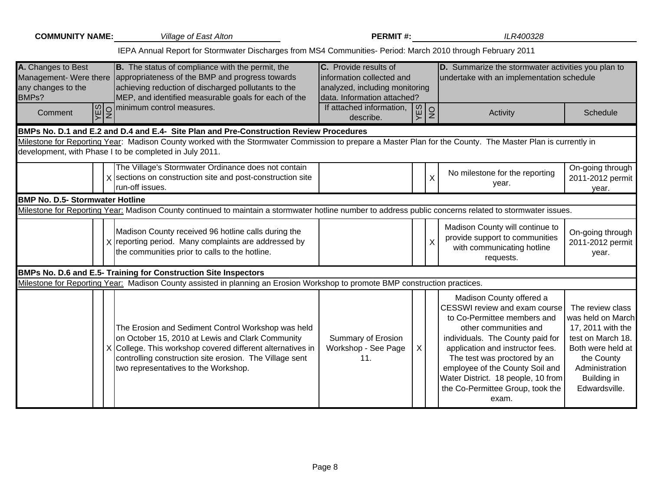| <b>COMMUNITY NAME:</b>                            | <b>Village of East Alton</b>                                                                                                                                                                                                                                            | <b>PERMIT#:</b>                                                                                                     |           |               | ILR400328                                                                                                                                                                                                                                                                                                                                       |                                                                                                                                                                      |
|---------------------------------------------------|-------------------------------------------------------------------------------------------------------------------------------------------------------------------------------------------------------------------------------------------------------------------------|---------------------------------------------------------------------------------------------------------------------|-----------|---------------|-------------------------------------------------------------------------------------------------------------------------------------------------------------------------------------------------------------------------------------------------------------------------------------------------------------------------------------------------|----------------------------------------------------------------------------------------------------------------------------------------------------------------------|
|                                                   | IEPA Annual Report for Stormwater Discharges from MS4 Communities- Period: March 2010 through February 2011                                                                                                                                                             |                                                                                                                     |           |               |                                                                                                                                                                                                                                                                                                                                                 |                                                                                                                                                                      |
| A. Changes to Best<br>any changes to the<br>BMPs? | <b>B.</b> The status of compliance with the permit, the<br>Management- Were there appropriateness of the BMP and progress towards<br>achieving reduction of discharged pollutants to the<br>MEP, and identified measurable goals for each of the                        | C. Provide results of<br>information collected and<br>analyzed, including monitoring<br>data. Information attached? |           |               | D. Summarize the stormwater activities you plan to<br>undertake with an implementation schedule                                                                                                                                                                                                                                                 |                                                                                                                                                                      |
| Comment                                           | $\boxed{\omega}{2}$ minimum control measures.                                                                                                                                                                                                                           | If attached information,<br>describe.                                                                               | <b>SA</b> | $\frac{1}{2}$ | Activity                                                                                                                                                                                                                                                                                                                                        | Schedule                                                                                                                                                             |
|                                                   | BMPs No. D.1 and E.2 and D.4 and E.4- Site Plan and Pre-Construction Review Procedures                                                                                                                                                                                  |                                                                                                                     |           |               |                                                                                                                                                                                                                                                                                                                                                 |                                                                                                                                                                      |
|                                                   | Milestone for Reporting Year: Madison County worked with the Stormwater Commission to prepare a Master Plan for the County. The Master Plan is currently in<br>development, with Phase I to be completed in July 2011.                                                  |                                                                                                                     |           |               |                                                                                                                                                                                                                                                                                                                                                 |                                                                                                                                                                      |
|                                                   | The Village's Stormwater Ordinance does not contain<br>X sections on construction site and post-construction site<br>run-off issues.                                                                                                                                    |                                                                                                                     |           | $\sf X$       | No milestone for the reporting<br>year.                                                                                                                                                                                                                                                                                                         | On-going through<br>2011-2012 permit<br>year.                                                                                                                        |
| <b>BMP No. D.5- Stormwater Hotline</b>            |                                                                                                                                                                                                                                                                         |                                                                                                                     |           |               |                                                                                                                                                                                                                                                                                                                                                 |                                                                                                                                                                      |
|                                                   | Milestone for Reporting Year: Madison County continued to maintain a stormwater hotline number to address public concerns related to stormwater issues.                                                                                                                 |                                                                                                                     |           |               |                                                                                                                                                                                                                                                                                                                                                 |                                                                                                                                                                      |
|                                                   | Madison County received 96 hotline calls during the<br>X reporting period. Many complaints are addressed by<br>the communities prior to calls to the hotline.                                                                                                           |                                                                                                                     |           | X             | Madison County will continue to<br>provide support to communities<br>with communicating hotline<br>requests.                                                                                                                                                                                                                                    | On-going through<br>2011-2012 permit<br>year.                                                                                                                        |
|                                                   | BMPs No. D.6 and E.5- Training for Construction Site Inspectors                                                                                                                                                                                                         |                                                                                                                     |           |               |                                                                                                                                                                                                                                                                                                                                                 |                                                                                                                                                                      |
|                                                   | Milestone for Reporting Year: Madison County assisted in planning an Erosion Workshop to promote BMP construction practices.                                                                                                                                            |                                                                                                                     |           |               |                                                                                                                                                                                                                                                                                                                                                 |                                                                                                                                                                      |
|                                                   | The Erosion and Sediment Control Workshop was held<br>on October 15, 2010 at Lewis and Clark Community<br>X College. This workshop covered different alternatives in<br>controlling construction site erosion. The Village sent<br>two representatives to the Workshop. | Summary of Erosion<br>Workshop - See Page<br>11.                                                                    | X.        |               | Madison County offered a<br>CESSWI review and exam course<br>to Co-Permittee members and<br>other communities and<br>individuals. The County paid for<br>application and instructor fees.<br>The test was proctored by an<br>employee of the County Soil and<br>Water District. 18 people, 10 from<br>the Co-Permittee Group, took the<br>exam. | The review class<br>was held on March<br>17, 2011 with the<br>test on March 18.<br>Both were held at<br>the County<br>Administration<br>Building in<br>Edwardsville. |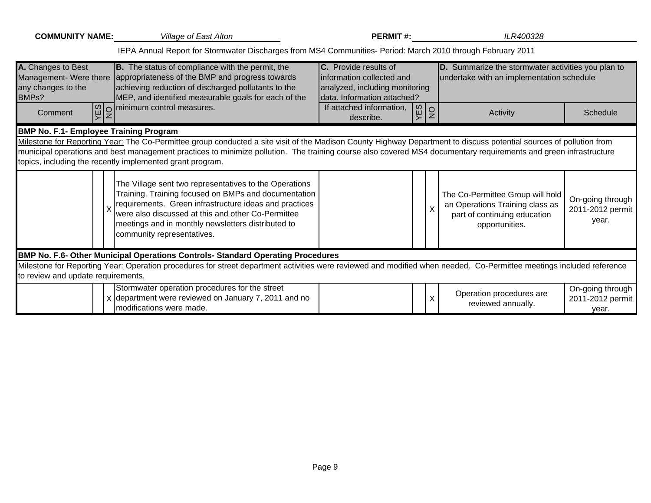| <b>COMMUNITY NAME:</b>                            | <b>Village of East Alton</b>                                                                                                                                                                                                                                                                                                                                                                         | <b>PERMIT#:</b>                                                                                                             |                | ILR400328                                                                                                             |                                               |
|---------------------------------------------------|------------------------------------------------------------------------------------------------------------------------------------------------------------------------------------------------------------------------------------------------------------------------------------------------------------------------------------------------------------------------------------------------------|-----------------------------------------------------------------------------------------------------------------------------|----------------|-----------------------------------------------------------------------------------------------------------------------|-----------------------------------------------|
|                                                   | IEPA Annual Report for Stormwater Discharges from MS4 Communities- Period: March 2010 through February 2011                                                                                                                                                                                                                                                                                          |                                                                                                                             |                |                                                                                                                       |                                               |
| A. Changes to Best<br>any changes to the<br>BMPs? | <b>B.</b> The status of compliance with the permit, the<br>Management- Were there   appropriateness of the BMP and progress towards<br>achieving reduction of discharged pollutants to the<br>MEP, and identified measurable goals for each of the                                                                                                                                                   | <b>C.</b> Provide results of<br>information collected and<br>analyzed, including monitoring<br>Idata. Information attached? |                | D. Summarize the stormwater activities you plan to<br>undertake with an implementation schedule                       |                                               |
| Comment                                           | $\Omega$ minimum control measures.                                                                                                                                                                                                                                                                                                                                                                   | If attached information,<br>YES<br>describe.                                                                                | $\overline{2}$ | Activity                                                                                                              | Schedule                                      |
| <b>BMP No. F.1- Employee Training Program</b>     |                                                                                                                                                                                                                                                                                                                                                                                                      |                                                                                                                             |                |                                                                                                                       |                                               |
|                                                   | Milestone for Reporting Year: The Co-Permittee group conducted a site visit of the Madison County Highway Department to discuss potential sources of pollution from<br>municipal operations and best management practices to minimize pollution. The training course also covered MS4 documentary requirements and green infrastructure<br>topics, including the recently implemented grant program. |                                                                                                                             |                |                                                                                                                       |                                               |
|                                                   | The Village sent two representatives to the Operations<br>Training. Training focused on BMPs and documentation<br>requirements. Green infrastructure ideas and practices<br>were also discussed at this and other Co-Permittee<br>meetings and in monthly newsletters distributed to<br>community representatives.                                                                                   |                                                                                                                             |                | The Co-Permittee Group will hold<br>an Operations Training class as<br>part of continuing education<br>opportunities. | On-going through<br>2011-2012 permit<br>year. |
|                                                   | BMP No. F.6- Other Municipal Operations Controls- Standard Operating Procedures                                                                                                                                                                                                                                                                                                                      |                                                                                                                             |                |                                                                                                                       |                                               |
| to review and update requirements.                | Milestone for Reporting Year: Operation procedures for street department activities were reviewed and modified when needed. Co-Permittee meetings included reference                                                                                                                                                                                                                                 |                                                                                                                             |                |                                                                                                                       |                                               |
|                                                   | Stormwater operation procedures for the street<br>$\chi$ department were reviewed on January 7, 2011 and no<br>modifications were made.                                                                                                                                                                                                                                                              |                                                                                                                             | X              | Operation procedures are<br>reviewed annually.                                                                        | On-going through<br>2011-2012 permit<br>year. |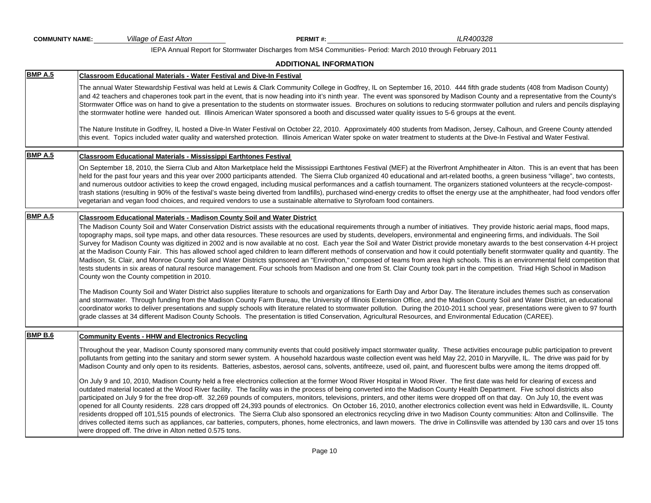| <b>COMMUNITY NAME:</b> | Village of East Alton                                                                                                  | PERMIT#:                      | ILR400328                                                                                                                                                                                                                                                                                                                                                                                                                                                                                                                                                                                                                                                                                                                                                                                                                                                                                                                                                                                                                                                                                                                  |  |
|------------------------|------------------------------------------------------------------------------------------------------------------------|-------------------------------|----------------------------------------------------------------------------------------------------------------------------------------------------------------------------------------------------------------------------------------------------------------------------------------------------------------------------------------------------------------------------------------------------------------------------------------------------------------------------------------------------------------------------------------------------------------------------------------------------------------------------------------------------------------------------------------------------------------------------------------------------------------------------------------------------------------------------------------------------------------------------------------------------------------------------------------------------------------------------------------------------------------------------------------------------------------------------------------------------------------------------|--|
|                        |                                                                                                                        |                               | IEPA Annual Report for Stormwater Discharges from MS4 Communities- Period: March 2010 through February 2011                                                                                                                                                                                                                                                                                                                                                                                                                                                                                                                                                                                                                                                                                                                                                                                                                                                                                                                                                                                                                |  |
|                        |                                                                                                                        | <b>ADDITIONAL INFORMATION</b> |                                                                                                                                                                                                                                                                                                                                                                                                                                                                                                                                                                                                                                                                                                                                                                                                                                                                                                                                                                                                                                                                                                                            |  |
| <b>BMP A.5</b>         | Classroom Educational Materials - Water Festival and Dive-In Festival                                                  |                               |                                                                                                                                                                                                                                                                                                                                                                                                                                                                                                                                                                                                                                                                                                                                                                                                                                                                                                                                                                                                                                                                                                                            |  |
|                        |                                                                                                                        |                               | The annual Water Stewardship Festival was held at Lewis & Clark Community College in Godfrey, IL on September 16, 2010. 444 fifth grade students (408 from Madison County)<br>and 42 teachers and chaperones took part in the event, that is now heading into it's ninth year. The event was sponsored by Madison County and a representative from the County's<br>Stormwater Office was on hand to give a presentation to the students on stormwater issues. Brochures on solutions to reducing stormwater pollution and rulers and pencils displaying<br>the stormwater hotline were handed out. Illinois American Water sponsored a booth and discussed water quality issues to 5-6 groups at the event.<br>The Nature Institute in Godfrey, IL hosted a Dive-In Water Festival on October 22, 2010. Approximately 400 students from Madison, Jersey, Calhoun, and Greene County attended                                                                                                                                                                                                                               |  |
|                        |                                                                                                                        |                               | this event. Topics included water quality and watershed protection. Illinois American Water spoke on water treatment to students at the Dive-In Festival and Water Festival.                                                                                                                                                                                                                                                                                                                                                                                                                                                                                                                                                                                                                                                                                                                                                                                                                                                                                                                                               |  |
| <b>BMP A.5</b>         | Classroom Educational Materials - Mississippi Earthtones Festival                                                      |                               |                                                                                                                                                                                                                                                                                                                                                                                                                                                                                                                                                                                                                                                                                                                                                                                                                                                                                                                                                                                                                                                                                                                            |  |
|                        | vegetarian and vegan food choices, and required vendors to use a sustainable alternative to Styrofoam food containers. |                               | On September 18, 2010, the Sierra Club and Alton Marketplace held the Mississippi Earthtones Festival (MEF) at the Riverfront Amphitheater in Alton. This is an event that has been<br>held for the past four years and this year over 2000 participants attended. The Sierra Club organized 40 educational and art-related booths, a green business "village", two contests,<br>and numerous outdoor activities to keep the crowd engaged, including musical performances and a catfish tournament. The organizers stationed volunteers at the recycle-compost-<br>trash stations (resulting in 90% of the festival's waste being diverted from landfills), purchased wind-energy credits to offset the energy use at the amphitheater, had food vendors offer                                                                                                                                                                                                                                                                                                                                                            |  |
| <b>BMP A.5</b>         | <b>Classroom Educational Materials - Madison County Soil and Water District</b>                                        |                               |                                                                                                                                                                                                                                                                                                                                                                                                                                                                                                                                                                                                                                                                                                                                                                                                                                                                                                                                                                                                                                                                                                                            |  |
|                        | County won the County competition in 2010.                                                                             |                               | The Madison County Soil and Water Conservation District assists with the educational requirements through a number of initiatives. They provide historic aerial maps, flood maps,<br>topography maps, soil type maps, and other data resources. These resources are used by students, developers, environmental and engineering firms, and individuals. The Soil<br>Survey for Madison County was digitized in 2002 and is now available at no cost. Each year the Soil and Water District provide monetary awards to the best conservation 4-H project<br>at the Madison County Fair. This has allowed school aged children to learn different methods of conservation and how it could potentially benefit stormwater quality and quantity. The<br>Madison, St. Clair, and Monroe County Soil and Water Districts sponsored an "Envirothon," composed of teams from area high schools. This is an environmental field competition that<br>tests students in six areas of natural resource management. Four schools from Madison and one from St. Clair County took part in the competition. Triad High School in Madison |  |
|                        |                                                                                                                        |                               | The Madison County Soil and Water District also supplies literature to schools and organizations for Earth Day and Arbor Day. The literature includes themes such as conservation<br>and stormwater. Through funding from the Madison County Farm Bureau, the University of Illinois Extension Office, and the Madison County Soil and Water District, an educational<br>coordinator works to deliver presentations and supply schools with literature related to stormwater pollution. During the 2010-2011 school year, presentations were given to 97 fourth<br>grade classes at 34 different Madison County Schools. The presentation is titled Conservation, Agricultural Resources, and Environmental Education (CAREE).                                                                                                                                                                                                                                                                                                                                                                                             |  |
| <b>BMP B.6</b>         | <b>Community Events - HHW and Electronics Recycling</b>                                                                |                               |                                                                                                                                                                                                                                                                                                                                                                                                                                                                                                                                                                                                                                                                                                                                                                                                                                                                                                                                                                                                                                                                                                                            |  |
|                        |                                                                                                                        |                               | Throughout the year, Madison County sponsored many community events that could positively impact stormwater quality. These activities encourage public participation to prevent<br>pollutants from getting into the sanitary and storm sewer system. A household hazardous waste collection event was held May 22, 2010 in Maryville, IL. The drive was paid for by<br>Madison County and only open to its residents. Batteries, asbestos, aerosol cans, solvents, antifreeze, used oil, paint, and fluorescent bulbs were among the items dropped off.                                                                                                                                                                                                                                                                                                                                                                                                                                                                                                                                                                    |  |
|                        | were dropped off. The drive in Alton netted 0.575 tons.                                                                |                               | On July 9 and 10, 2010, Madison County held a free electronics collection at the former Wood River Hospital in Wood River. The first date was held for clearing of excess and<br>outdated material located at the Wood River facility. The facility was in the process of being converted into the Madison County Health Department. Five school districts also<br>participated on July 9 for the free drop-off. 32,269 pounds of computers, monitors, televisions, printers, and other items were dropped off on that day. On July 10, the event was<br>opened for all County residents. 228 cars dropped off 24,393 pounds of electronics. On October 16, 2010, another electronics collection event was held in Edwardsville, IL. County<br>residents dropped off 101,515 pounds of electronics. The Sierra Club also sponsored an electronics recycling drive in two Madison County communities: Alton and Collinsville. The<br>drives collected items such as appliances, car batteries, computers, phones, home electronics, and lawn mowers. The drive in Collinsville was attended by 130 cars and over 15 tons    |  |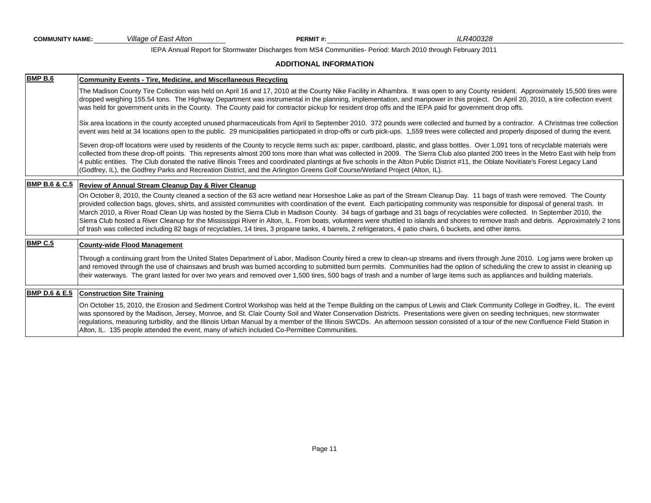*Village of East Alton* **PERMIT #:** *ILR400328*

IEPA Annual Report for Stormwater Discharges from MS4 Communities- Period: March 2010 through February 2011

#### **ADDITIONAL INFORMATION**

| <b>BMP B.6</b>           | <b>Community Events - Tire, Medicine, and Miscellaneous Recycling</b>                                                                                                                                                                                                                                                                                                                                                                                                                                                                                                                                                                                                                                                                                                                                                                                                                             |
|--------------------------|---------------------------------------------------------------------------------------------------------------------------------------------------------------------------------------------------------------------------------------------------------------------------------------------------------------------------------------------------------------------------------------------------------------------------------------------------------------------------------------------------------------------------------------------------------------------------------------------------------------------------------------------------------------------------------------------------------------------------------------------------------------------------------------------------------------------------------------------------------------------------------------------------|
|                          | The Madison County Tire Collection was held on April 16 and 17, 2010 at the County Nike Facility in Alhambra. It was open to any County resident. Approximately 15,500 tires were<br>dropped weighing 155.54 tons. The Highway Department was instrumental in the planning, implementation, and manpower in this project. On April 20, 2010, a tire collection event<br>was held for government units in the County. The County paid for contractor pickup for resident drop offs and the IEPA paid for government drop offs.                                                                                                                                                                                                                                                                                                                                                                     |
|                          | Six area locations in the county accepted unused pharmaceuticals from April to September 2010. 372 pounds were collected and burned by a contractor. A Christmas tree collection<br>event was held at 34 locations open to the public. 29 municipalities participated in drop-offs or curb pick-ups. 1,559 trees were collected and properly disposed of during the event.                                                                                                                                                                                                                                                                                                                                                                                                                                                                                                                        |
|                          | Seven drop-off locations were used by residents of the County to recycle items such as: paper, cardboard, plastic, and glass bottles. Over 1,091 tons of recyclable materials were<br>collected from these drop-off points. This represents almost 200 tons more than what was collected in 2009. The Sierra Club also planted 200 trees in the Metro East with help from<br>4 public entities. The Club donated the native Illinois Trees and coordinated plantings at five schools in the Alton Public District #11, the Oblate Novitiate's Forest Legacy Land<br>(Godfrey, IL), the Godfrey Parks and Recreation District, and the Arlington Greens Golf Course/Wetland Project (Alton, IL).                                                                                                                                                                                                   |
| <b>BMP B.6 &amp; C.5</b> | Review of Annual Stream Cleanup Day & River Cleanup                                                                                                                                                                                                                                                                                                                                                                                                                                                                                                                                                                                                                                                                                                                                                                                                                                               |
|                          | On October 8, 2010, the County cleaned a section of the 63 acre wetland near Horseshoe Lake as part of the Stream Cleanup Day. 11 bags of trash were removed. The County<br>provided collection bags, gloves, shirts, and assisted communities with coordination of the event. Each participating community was responsible for disposal of general trash. In<br>March 2010, a River Road Clean Up was hosted by the Sierra Club in Madison County. 34 bags of garbage and 31 bags of recyclables were collected. In September 2010, the<br>Sierra Club hosted a River Cleanup for the Mississippi River in Alton, IL. From boats, volunteers were shuttled to islands and shores to remove trash and debris. Approximately 2 tons<br>of trash was collected including 82 bags of recyclables, 14 tires, 3 propane tanks, 4 barrels, 2 refrigerators, 4 patio chairs, 6 buckets, and other items. |
| <b>BMP C.5</b>           | <b>County-wide Flood Management</b>                                                                                                                                                                                                                                                                                                                                                                                                                                                                                                                                                                                                                                                                                                                                                                                                                                                               |
|                          | Through a continuing grant from the United States Department of Labor, Madison County hired a crew to clean-up streams and rivers through June 2010. Log jams were broken up<br>and removed through the use of chainsaws and brush was burned according to submitted burn permits. Communities had the option of scheduling the crew to assist in cleaning up<br>their waterways. The grant lasted for over two years and removed over 1,500 tires, 500 bags of trash and a number of large items such as appliances and building materials.                                                                                                                                                                                                                                                                                                                                                      |
| <b>BMP D.6 &amp; E.5</b> | <b>Construction Site Training</b>                                                                                                                                                                                                                                                                                                                                                                                                                                                                                                                                                                                                                                                                                                                                                                                                                                                                 |
|                          | On October 15, 2010, the Erosion and Sediment Control Workshop was held at the Tempe Building on the campus of Lewis and Clark Community College in Godfrey, IL. The event<br>was sponsored by the Madison, Jersey, Monroe, and St. Clair County Soil and Water Conservation Districts. Presentations were given on seeding techniques, new stormwater<br>regulations, measuring turbidity, and the Illinois Urban Manual by a member of the Illinois SWCDs. An afternoon session consisted of a tour of the new Confluence Field Station in<br>Alton, IL. 135 people attended the event, many of which included Co-Permittee Communities.                                                                                                                                                                                                                                                        |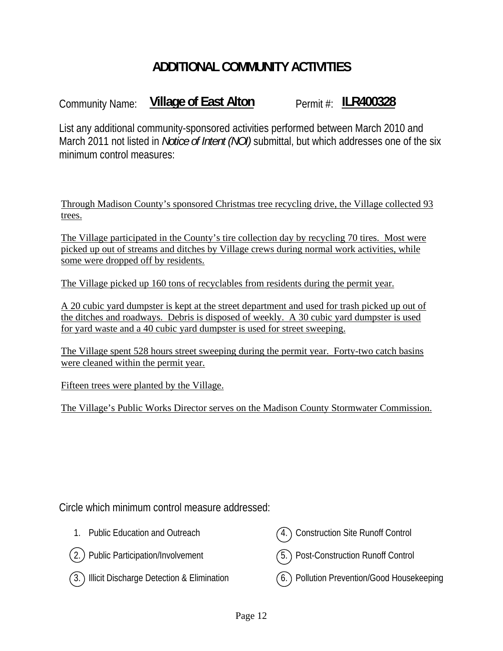# **ADDITIONAL COMMUNITY ACTIVITIES**

# Community Name: **Village of East Alton** Permit #: **ILR400328**

List any additional community-sponsored activities performed between March 2010 and March 2011 not listed in *Notice of Intent (NOI)* submittal, but which addresses one of the six minimum control measures:

Through Madison County's sponsored Christmas tree recycling drive, the Village collected 93 trees.

The Village participated in the County's tire collection day by recycling 70 tires. Most were picked up out of streams and ditches by Village crews during normal work activities, while some were dropped off by residents.

The Village picked up 160 tons of recyclables from residents during the permit year.

A 20 cubic yard dumpster is kept at the street department and used for trash picked up out of the ditches and roadways. Debris is disposed of weekly. A 30 cubic yard dumpster is used for yard waste and a 40 cubic yard dumpster is used for street sweeping.

The Village spent 528 hours street sweeping during the permit year. Forty-two catch basins were cleaned within the permit year.

Fifteen trees were planted by the Village.

The Village's Public Works Director serves on the Madison County Stormwater Commission.

Circle which minimum control measure addressed:

- 1. Public Education and Outreach
- 2. Public Participation/Involvement
- 4. Construction Site Runoff Control



3. Illicit Discharge Detection & Elimination

6. Pollution Prevention/Good Housekeeping